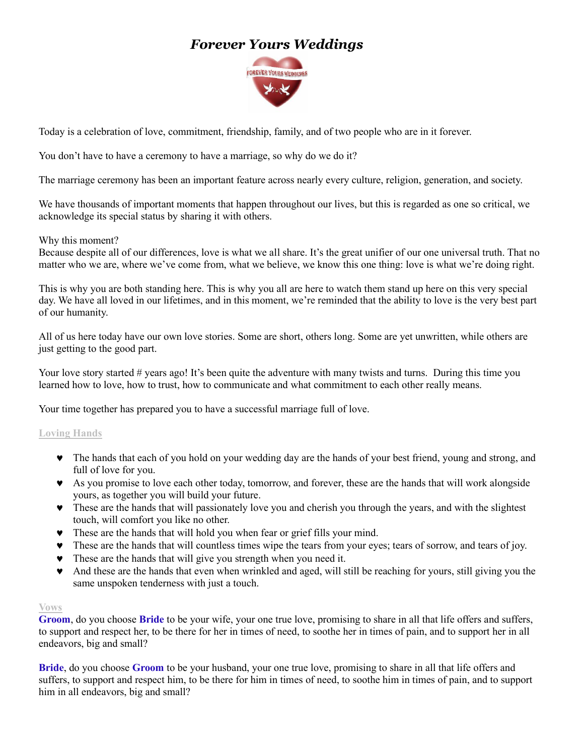# *Forever Yours Weddings*



Today is a celebration of love, commitment, friendship, family, and of two people who are in it forever.

You don't have to have a ceremony to have a marriage, so why do we do it?

The marriage ceremony has been an important feature across nearly every culture, religion, generation, and society.

We have thousands of important moments that happen throughout our lives, but this is regarded as one so critical, we acknowledge its special status by sharing it with others.

#### Why this moment?

Because despite all of our differences, love is what we all share. It's the great unifier of our one universal truth. That no matter who we are, where we've come from, what we believe, we know this one thing: love is what we're doing right.

This is why you are both standing here. This is why you all are here to watch them stand up here on this very special day. We have all loved in our lifetimes, and in this moment, we're reminded that the ability to love is the very best part of our humanity.

All of us here today have our own love stories. Some are short, others long. Some are yet unwritten, while others are just getting to the good part.

Your love story started # years ago! It's been quite the adventure with many twists and turns. During this time you learned how to love, how to trust, how to communicate and what commitment to each other really means.

Your time together has prepared you to have a successful marriage full of love.

#### **Loving Hands**

- The hands that each of you hold on your wedding day are the hands of your best friend, young and strong, and full of love for you.
- As you promise to love each other today, tomorrow, and forever, these are the hands that will work alongside yours, as together you will build your future.
- These are the hands that will passionately love you and cherish you through the years, and with the slightest touch, will comfort you like no other.
- These are the hands that will hold you when fear or grief fills your mind.
- These are the hands that will countless times wipe the tears from your eyes; tears of sorrow, and tears of joy.
- These are the hands that will give you strength when you need it.
- And these are the hands that even when wrinkled and aged, will still be reaching for yours, still giving you the same unspoken tenderness with just a touch.

#### **Vows**

**Groom**, do you choose **Bride** to be your wife, your one true love, promising to share in all that life offers and suffers, to support and respect her, to be there for her in times of need, to soothe her in times of pain, and to support her in all endeavors, big and small?

**Bride**, do you choose **Groom** to be your husband, your one true love, promising to share in all that life offers and suffers, to support and respect him, to be there for him in times of need, to soothe him in times of pain, and to support him in all endeavors, big and small?